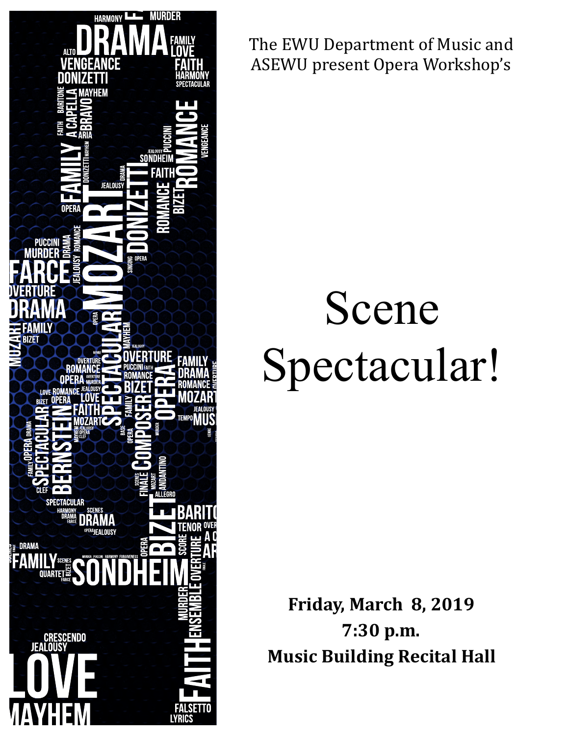

The EWU Department of Music and ASEWU present Opera Workshop's

# Scene Spectacular!

**Friday, March 8, 2019 7:30 p.m. Music Building Recital Hall**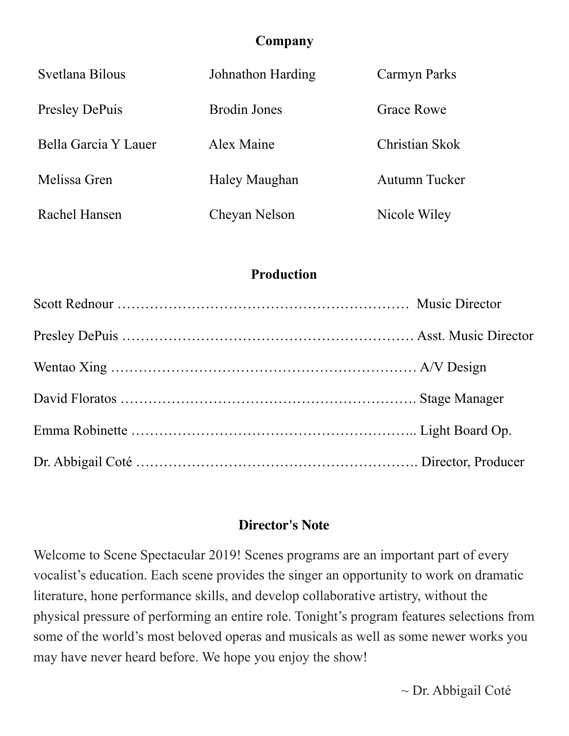## **Company**

| Svetlana Bilous       | Johnathon Harding   | Carmyn Parks      |
|-----------------------|---------------------|-------------------|
| <b>Presley DePuis</b> | <b>Brodin Jones</b> | <b>Grace Rowe</b> |
| Bella Garcia Y Lauer  | Alex Maine          | Christian Skok    |
| Melissa Gren          | Haley Maughan       | Autumn Tucker     |
| Rachel Hansen         | Cheyan Nelson       | Nicole Wiley      |

## **Production**

# **Director's Note**

Welcome to Scene Spectacular 2019! Scenes programs are an important part of every vocalist's education. Each scene provides the singer an opportunity to work on dramatic literature, hone performance skills, and develop collaborative artistry, without the physical pressure of performing an entire role. Tonight's program features selections from some of the world's most beloved operas and musicals as well as some newer works you may have never heard before. We hope you enjoy the show!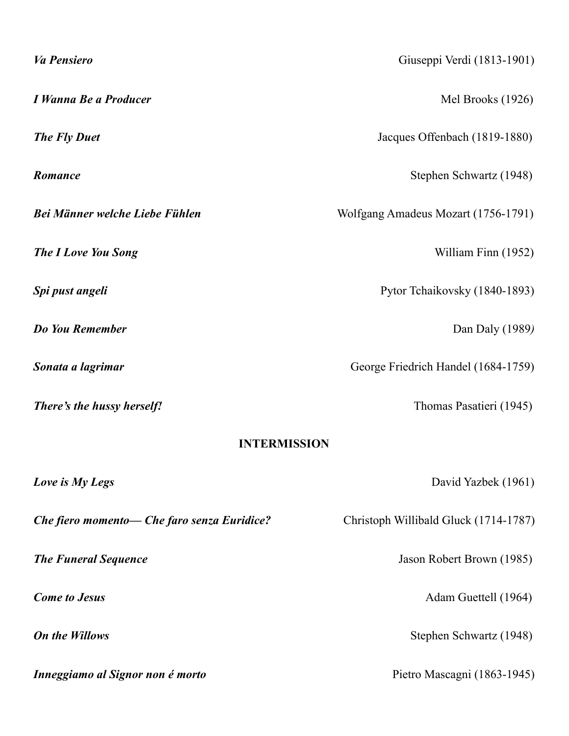| <b>Va Pensiero</b>                          | Giuseppi Verdi (1813-1901)            |  |  |
|---------------------------------------------|---------------------------------------|--|--|
| I Wanna Be a Producer                       | Mel Brooks (1926)                     |  |  |
| <b>The Fly Duet</b>                         | Jacques Offenbach (1819-1880)         |  |  |
| Romance                                     | Stephen Schwartz (1948)               |  |  |
| Bei Männer welche Liebe Fühlen              | Wolfgang Amadeus Mozart (1756-1791)   |  |  |
| <b>The I Love You Song</b>                  | William Finn (1952)                   |  |  |
| Spi pust angeli                             | Pytor Tchaikovsky (1840-1893)         |  |  |
| Do You Remember                             | Dan Daly (1989)                       |  |  |
| Sonata a lagrimar                           | George Friedrich Handel (1684-1759)   |  |  |
| There's the hussy herself!                  | Thomas Pasatieri (1945)               |  |  |
| <b>INTERMISSION</b>                         |                                       |  |  |
| Love is My Legs                             | David Yazbek (1961)                   |  |  |
| Che fiero momento- Che faro senza Euridice? | Christoph Willibald Gluck (1714-1787) |  |  |
| <b>The Funeral Sequence</b>                 | Jason Robert Brown (1985)             |  |  |
| <b>Come to Jesus</b>                        | Adam Guettell (1964)                  |  |  |
| <b>On the Willows</b>                       | Stephen Schwartz (1948)               |  |  |
| Inneggiamo al Signor non é morto            | Pietro Mascagni (1863-1945)           |  |  |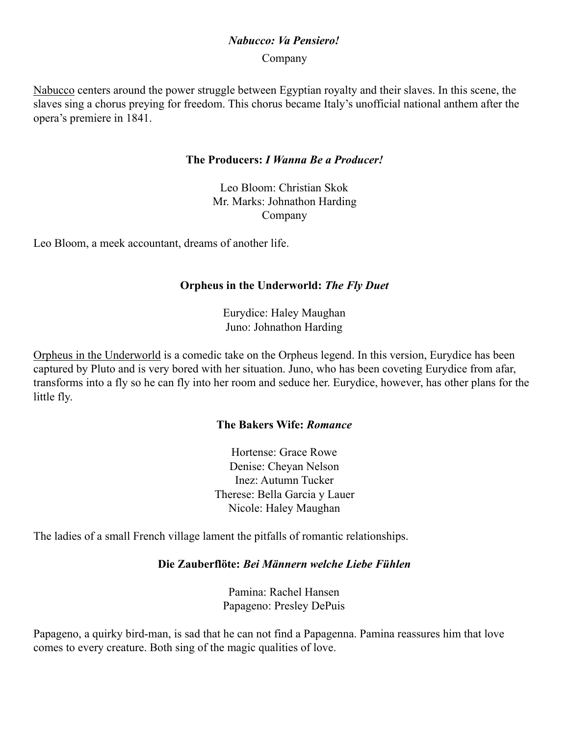### *Nabucco: Va Pensiero!*

Company

Nabucco centers around the power struggle between Egyptian royalty and their slaves. In this scene, the slaves sing a chorus preying for freedom. This chorus became Italy's unofficial national anthem after the opera's premiere in 1841.

#### **The Producers:** *I Wanna Be a Producer!*

Leo Bloom: Christian Skok Mr. Marks: Johnathon Harding Company

Leo Bloom, a meek accountant, dreams of another life.

#### **Orpheus in the Underworld:** *The Fly Duet*

Eurydice: Haley Maughan Juno: Johnathon Harding

Orpheus in the Underworld is a comedic take on the Orpheus legend. In this version, Eurydice has been captured by Pluto and is very bored with her situation. Juno, who has been coveting Eurydice from afar, transforms into a fly so he can fly into her room and seduce her. Eurydice, however, has other plans for the little fly.

#### **The Bakers Wife:** *Romance*

Hortense: Grace Rowe Denise: Cheyan Nelson Inez: Autumn Tucker Therese: Bella Garcia y Lauer Nicole: Haley Maughan

The ladies of a small French village lament the pitfalls of romantic relationships.

#### **Die Zauberflöte:** *Bei Männern welche Liebe Fühlen*

Pamina: Rachel Hansen Papageno: Presley DePuis

Papageno, a quirky bird-man, is sad that he can not find a Papagenna. Pamina reassures him that love comes to every creature. Both sing of the magic qualities of love.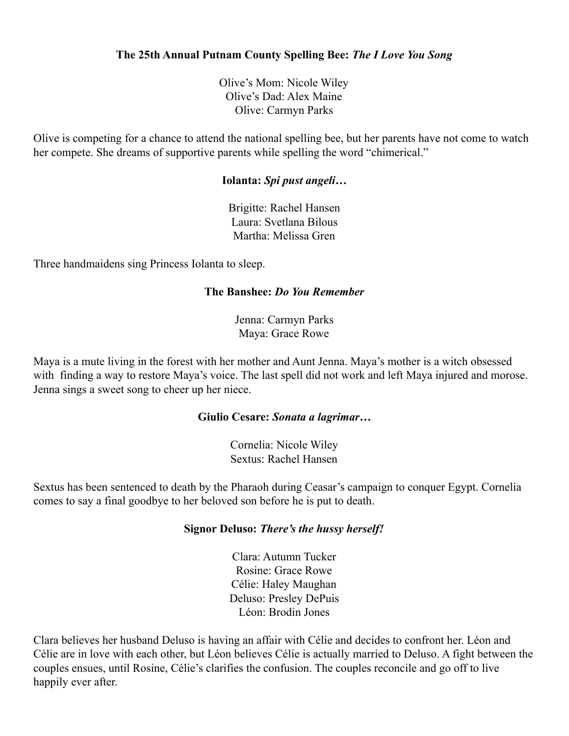#### **The 25th Annual Putnam County Spelling Bee:** *The I Love You Song*

Olive's Mom: Nicole Wiley Olive's Dad: Alex Maine Olive: Carmyn Parks

Olive is competing for a chance to attend the national spelling bee, but her parents have not come to watch her compete. She dreams of supportive parents while spelling the word "chimerical."

#### **Iolanta:** *Spi pust angeli…*

Brigitte: Rachel Hansen Laura: Svetlana Bilous Martha: Melissa Gren

Three handmaidens sing Princess Iolanta to sleep.

#### **The Banshee:** *Do You Remember*

Jenna: Carmyn Parks Maya: Grace Rowe

Maya is a mute living in the forest with her mother and Aunt Jenna. Maya's mother is a witch obsessed with finding a way to restore Maya's voice. The last spell did not work and left Maya injured and morose. Jenna sings a sweet song to cheer up her niece.

#### **Giulio Cesare:** *Sonata a lagrimar…*

Cornelia: Nicole Wiley Sextus: Rachel Hansen

Sextus has been sentenced to death by the Pharaoh during Ceasar's campaign to conquer Egypt. Cornelia comes to say a final goodbye to her beloved son before he is put to death.

#### **Signor Deluso:** *There's the hussy herself!*

Clara: Autumn Tucker Rosine: Grace Rowe Célie: Haley Maughan Deluso: Presley DePuis Léon: Brodin Jones

Clara believes her husband Deluso is having an affair with Célie and decides to confront her. Léon and Célie are in love with each other, but Léon believes Célie is actually married to Deluso. A fight between the couples ensues, until Rosine, Célie's clarifies the confusion. The couples reconcile and go off to live happily ever after.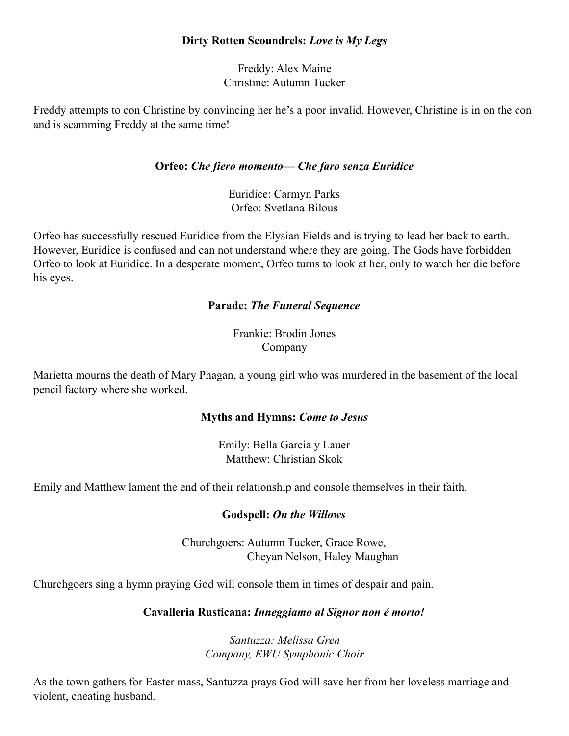#### **Dirty Rotten Scoundrels:** *Love is My Legs*

Freddy: Alex Maine Christine: Autumn Tucker

Freddy attempts to con Christine by convincing her he's a poor invalid. However, Christine is in on the con and is scamming Freddy at the same time!

#### **Orfeo:** *Che fiero momento— Che faro senza Euridice*

Euridice: Carmyn Parks Orfeo: Svetlana Bilous

Orfeo has successfully rescued Euridice from the Elysian Fields and is trying to lead her back to earth. However, Euridice is confused and can not understand where they are going. The Gods have forbidden Orfeo to look at Euridice. In a desperate moment, Orfeo turns to look at her, only to watch her die before his eyes.

#### **Parade:** *The Funeral Sequence*

Frankie: Brodin Jones Company

Marietta mourns the death of Mary Phagan, a young girl who was murdered in the basement of the local pencil factory where she worked.

#### **Myths and Hymns:** *Come to Jesus*

Emily: Bella Garcia y Lauer Matthew: Christian Skok

Emily and Matthew lament the end of their relationship and console themselves in their faith.

#### **Godspell:** *On the Willows*

Churchgoers: Autumn Tucker, Grace Rowe, Cheyan Nelson, Haley Maughan

Churchgoers sing a hymn praying God will console them in times of despair and pain.

#### **Cavalleria Rusticana:** *Inneggiamo al Signor non é morto!*

*Santuzza: Melissa Gren Company, EWU Symphonic Choir* 

As the town gathers for Easter mass, Santuzza prays God will save her from her loveless marriage and violent, cheating husband.